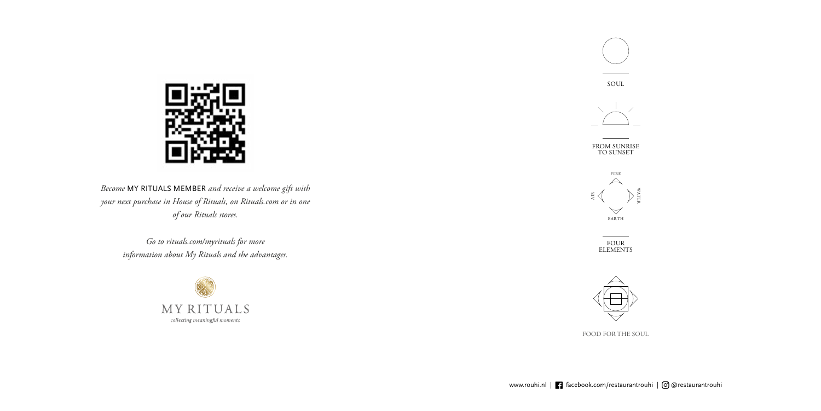*Become* MY RITUALS MEMBER *and receive a welcome gift with your next purchase in House of Rituals, on Rituals.com or in one of our Rituals stores.* 

> *Go to rituals.com/myrituals for more information about My Rituals and the advantages.*











SOUL



FROM SUNRISE TO SUNSET

> FOUR ELEMENTS



FOOD FOR THE SOUL

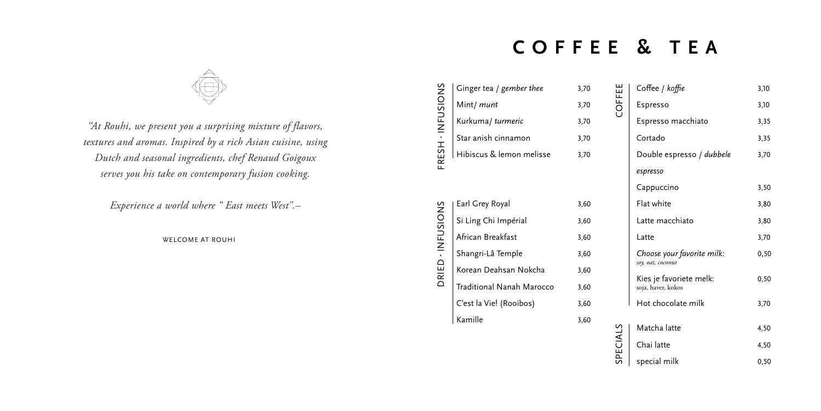*''At Rouhi, we present you a surprising mixture of flavors, textures and aromas. Inspired by a rich Asian cuisine, using Dutch and seasonal ingredients, chef Renaud Goigoux serves you his take on contemporary fusion cooking.*

*Experience a world where " East meets West''.–*

WELCOME AT ROUHI

### **COFFEE & TEA**



| S<br>NC | Ginger tea / gember thee | 3,70 |
|---------|--------------------------|------|
|         | Mint/ munt               | 3,70 |
| INFUSI  | Kurkuma/turmeric         | 3,70 |
|         | Star anish cinnamon      | 3,70 |
| —<br>⊞  | Hibiscus & lemon melisse | 3,70 |
|         |                          |      |

|                   | Ginger tea / gember thee  | 3,70 |
|-------------------|---------------------------|------|
|                   | Mint/ munt                | 3,70 |
|                   | Kurkuma/turmeric          | 3,70 |
|                   | Star anish cinnamon       | 3,70 |
| FRESH - INFUSIONS | Hibiscus & lemon melisse  | 3,70 |
|                   |                           |      |
|                   | Earl Grey Royal           | 3,60 |
| DRIED - INFUSIONS | Si Ling Chi Impérial      | 3,60 |
|                   | African Breakfast         | 3,60 |
|                   | Shangri-Lâ Temple         | 3,60 |
|                   | Korean Deahsan Nokcha     | 3,60 |
|                   | Traditional Nanah Marocco | 3,60 |
|                   | C'est la Vie! (Rooibos)   | 3,60 |
|                   | Kamille                   | 3,60 |

| Coffee / koffie                                 | 3,10  |
|-------------------------------------------------|-------|
| Espresso                                        | 3,10  |
| Espresso macchiato                              | 3,35  |
| Cortado                                         | 3,35  |
| Double espresso / dubbele                       | 3,70  |
| espresso                                        |       |
| Cappuccino                                      | 3,50  |
| Flat white                                      | 3,80  |
| Latte macchiato                                 | 3,80  |
| Latte                                           | 3,70  |
| Choose your favorite milk:<br>soy, oat, coconut | 0, 50 |
| Kies je favoriete melk:<br>soja, haver, kokos   | 0, 50 |
| Hot chocolate milk                              | 3,70  |
| Matcha latte                                    | 4,50  |
| Chai latte                                      | 4,50  |
| special milk                                    | 0,50  |

COFFEE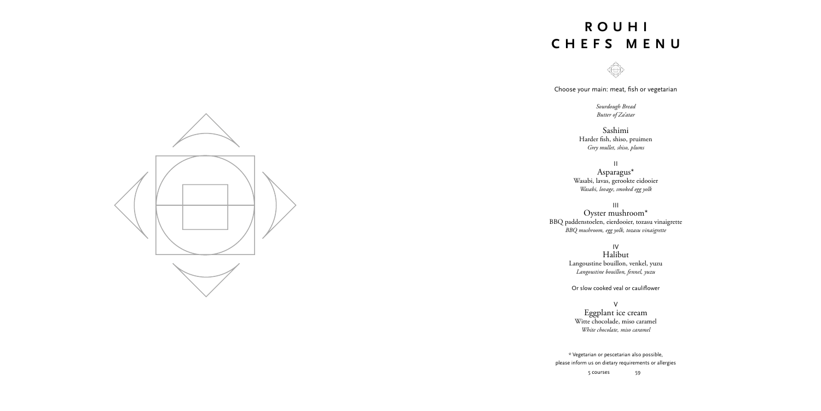Choose your main: meat, fish or vegetarian

*Sourdough Bread Butter of Za'atar*

Sashimi Harder fish, shiso, pruimen *Grey mullet, shiso, plums*

II Asparagus\* Wasabi, lavas, gerookte eidooier *Wasabi, lovage, smoked egg yolk*

III Oyster mushroom\* BBQ paddenstoelen, eierdooier, tozasu vinaigrette *BBQ mushroom, egg yolk, tozasu vinaigrette*

> IV Halibut Langoustine bouillon, venkel, yuzu *Langoustine bouillon, fennel, yuzu*

Or slow cooked veal or cauliflower

V Eggplant ice cream Witte chocolade, miso caramel *White chocolate, miso caramel*

### **ROUHI C H E F S M E N U**



\* Vegetarian or pescetarian also possible, please inform us on dietary requirements or allergies 5 courses 59



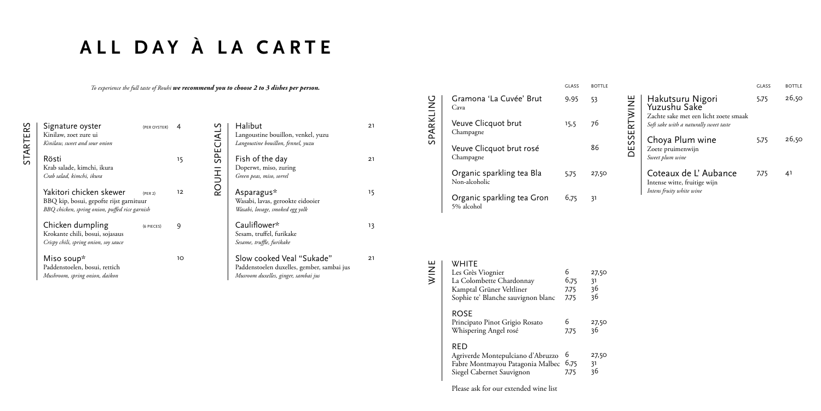STARTERS

STARTERS

| Signature oyster<br>Kinilaw, zoet zure ui                                                                            | (PER OYSTER)        |    |
|----------------------------------------------------------------------------------------------------------------------|---------------------|----|
| Kinilaw, sweet and sour onion                                                                                        |                     |    |
| Rösti<br>Krab salade, kimchi, ikura<br>Crab salad, kimchi, ikura                                                     |                     | 15 |
| Yakitori chicken skewer<br>BBQ kip, bosui, gepofte rijst garnituur<br>BBQ chicken, spring onion, puffed rice garnish | (PER <sub>2</sub> ) | 12 |
| Chicken dumpling<br>Krokante chili, bosui, sojasaus<br>Crispy chili, spring onion, soy sauce                         | (6 PIECES)          | g  |
| Miso soup*<br>Paddenstoelen, bosui, rettich<br>Mushroom, spring onion, daikon                                        |                     | 10 |

*To experience the full taste of Rouhi we recommend you to choose 2 to 3 dishes per person.*

# **ALL DAY À LA CARTE**

|           | Gramona 'La Cuvée' Brut<br>Cava            | 9,95 | 53    |
|-----------|--------------------------------------------|------|-------|
| SPARKLING | Veuve Clicquot brut<br>Champagne           | 15,5 | 76    |
|           | Veuve Clicquot brut rosé<br>Champagne      |      | 86    |
|           | Organic sparkling tea Bla<br>Non-alcoholic | 5,75 | 27,50 |
|           | Organic sparkling tea Gron<br>5% alcohol   | 6.75 | 31    |

|                | Halibut                                    | 21 |
|----------------|--------------------------------------------|----|
|                | Langoustine bouillon, venkel, yuzu         |    |
| ROUHI SPECIALS | Langoustine bouillon, fennel, yuzu         |    |
|                | Fish of the day                            | 21 |
|                | Doperwt, miso, zuring                      |    |
|                | Green peas, miso, sorrel                   |    |
|                | Asparagus*                                 | 15 |
|                | Wasabi, lavas, gerookte eidooier           |    |
|                | Wasabi, lovage, smoked egg yolk            |    |
|                | Cauliflower*                               | 13 |
|                | Sesam, truffel, furikake                   |    |
|                | Sesame, truffle, furikake                  |    |
|                | Slow cooked Veal "Sukade"                  | 21 |
|                | Paddenstoelen duxelles, gember, sambai jus |    |
|                | Musroom duxelles, ginger, sambai jus       |    |

GLASS BOTTLE

| WHITE<br>Les Grès Viognier<br>La Colombette Chardonnay<br>Kamptal Grüner Veltliner<br>Sophie te' Blanche sauvignon blanc | 6<br>6,75<br>7,75<br>7,75 | 27,50<br>31<br>36<br>36 |
|--------------------------------------------------------------------------------------------------------------------------|---------------------------|-------------------------|
| <b>ROSE</b><br>Principato Pinot Grigio Rosato<br>Whispering Angel rosé                                                   | 6<br>7,75                 | 27,50<br>36             |
| RED<br>Agriverde Montepulciano d'Abruzzo<br>Fabre Montmayou Patagonia Malbec<br>Siegel Cabernet Sauvignon                | 6<br>6,75<br>7,75         | 27,50<br>31<br>36       |

Please ask for our extended wine list

|                                                                                                                     | GLASS | <b>ROTTI F</b> |
|---------------------------------------------------------------------------------------------------------------------|-------|----------------|
| Hakutsuru Nigori<br>Yuzushu Sake<br>Zachte sake met een licht zoete smaak<br>Soft sake with a naturally sweet taste | 5,75  | 26,50          |
| Choya Plum wine<br>Zoete pruimenwijn<br>Sweet plum wine                                                             | 5,75  | 26,50          |
| Coteaux de L'Aubance<br>Intense witte, fruitige wijn<br>Intens fruity white wine                                    | 7,75  | 41             |

DESSERTWINE

DESSERTWINE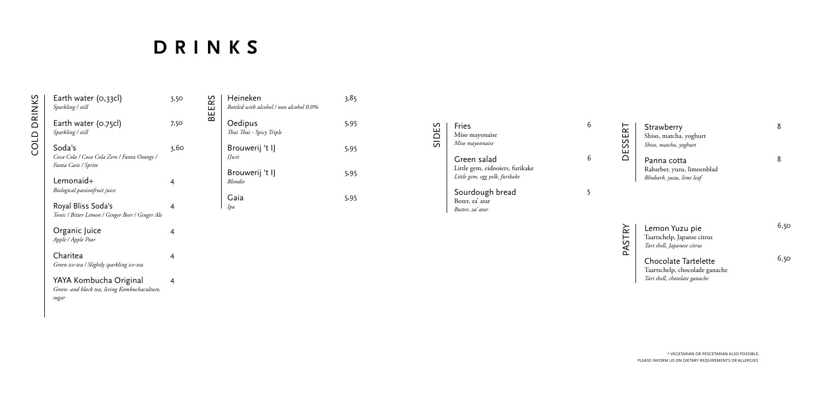| Earth water (0,33cl)<br>Sparkling / still                                        | 3,50 |
|----------------------------------------------------------------------------------|------|
| Earth water (0.75cl)<br>Sparkling / still                                        | 7,50 |
| Soda's<br>Coca Cola / Coca Cola Zero / Fanta Orange /<br>Fanta Casis / Sprite    | 3,60 |
| Lemonaid+<br>Biological passionfruit juice                                       | 4    |
| Royal Bliss Soda's<br>Tonic / Bitter Lemon / Ginger Beer / Ginger Ale            | 4    |
| Organic Juice<br>Apple / Apple Pear                                              | 4    |
| Charitea<br>Green ice-tea / Slightly sparkling ice-tea                           | 4    |
| YAYA Kombucha Original<br>Green- and black tea, living Kombuchaculture,<br>sugar | 4    |

| n<br>ш<br>$rac{1}{5}$ | Fries<br>Miso mayonaise<br>Miso mayonnaise                                       |  |
|-----------------------|----------------------------------------------------------------------------------|--|
|                       | Green salad<br>Little gem, eidooiers, furikake<br>Little gem, egg yolk, furikake |  |
|                       | Sourdough bread<br>Boter, za' atar<br>Butter, za' atar                           |  |

## **DRINKS**

COLD DRINKS

**COLD DRINKS** 

BEERS

| Heineken<br>Bottled with alcohol / non alcohol 0.0% | 3,85 |
|-----------------------------------------------------|------|
| Oedipus<br>Thai Thai - Spicy Triple                 | 5,95 |
| Brouwerij 't IJ<br>IJwit                            | 5,95 |
| Brouwerij 't IJ<br>Blondie                          | 5,95 |
| Gaia<br>Ipa                                         | 5,95 |

### Strawberry Shiso, matcha, yoghurt *Shiso, matcha, yoghurt*

Panna cotta Rabarber, yuzu, limoenblad *Rhubarb, yuzu, lime leaf*

### Lemon Yuzu pie Taartschelp, Japanse citrus

*Tart shell, Japanese citrus*

### Chocolate Tartelette

Taartschelp, chocolade ganache *Tart shell, chotolate ganache*

8

8

6,50

6,50